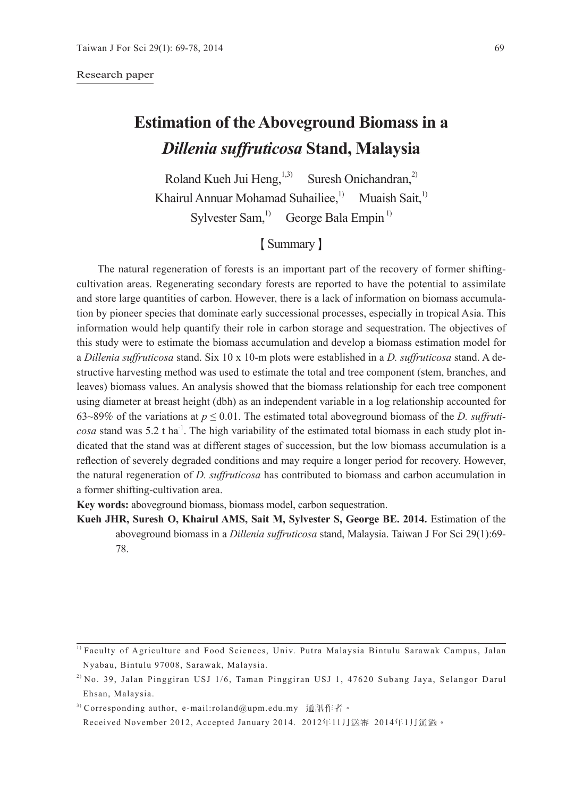#### Research paper

# **Estimation of the Aboveground Biomass in a**  *Dillenia suffruticosa* **Stand, Malaysia**

Roland Kueh Jui Heng,  $^{1,3)}$  Suresh Onichandran,<sup>2)</sup> Khairul Annuar Mohamad Suhailiee,<sup>1)</sup> Muaish Sait,<sup>1)</sup> Sylvester Sam, $^{1)}$  George Bala Empin<sup>1)</sup>

## 【Summary】

The natural regeneration of forests is an important part of the recovery of former shiftingcultivation areas. Regenerating secondary forests are reported to have the potential to assimilate and store large quantities of carbon. However, there is a lack of information on biomass accumulation by pioneer species that dominate early successional processes, especially in tropical Asia. This information would help quantify their role in carbon storage and sequestration. The objectives of this study were to estimate the biomass accumulation and develop a biomass estimation model for a *Dillenia suffruticosa* stand. Six 10 x 10-m plots were established in a *D. suffruticosa* stand. A destructive harvesting method was used to estimate the total and tree component (stem, branches, and leaves) biomass values. An analysis showed that the biomass relationship for each tree component using diameter at breast height (dbh) as an independent variable in a log relationship accounted for 63~89% of the variations at  $p \le 0.01$ . The estimated total aboveground biomass of the *D. suffruticosa* stand was 5.2 t ha<sup>-1</sup>. The high variability of the estimated total biomass in each study plot indicated that the stand was at different stages of succession, but the low biomass accumulation is a reflection of severely degraded conditions and may require a longer period for recovery. However, the natural regeneration of *D. suffruticosa* has contributed to biomass and carbon accumulation in a former shifting-cultivation area.

**Key words:** aboveground biomass, biomass model, carbon sequestration.

**Kueh JHR, Suresh O, Khairul AMS, Sait M, Sylvester S, George BE. 2014.** Estimation of the aboveground biomass in a *Dillenia suffruticosa* stand, Malaysia. Taiwan J For Sci 29(1):69- 78.

<sup>3)</sup> Corresponding author, e-mail:roland@upm.edu.my 通訊作者。

<sup>1)</sup> Faculty of Agriculture and Food Sciences, Univ. Putra Malaysia Bintulu Sarawak Campus, Jalan Nyabau, Bintulu 97008, Sarawak, Malaysia.

 $^{2)}$  No. 39, Jalan Pinggiran USJ 1/6, Taman Pinggiran USJ 1, 47620 Subang Jaya, Selangor Darul Ehsan, Malaysia.

Received November 2012, Accepted January 2014. 2012年11月送審 2014年1月通過。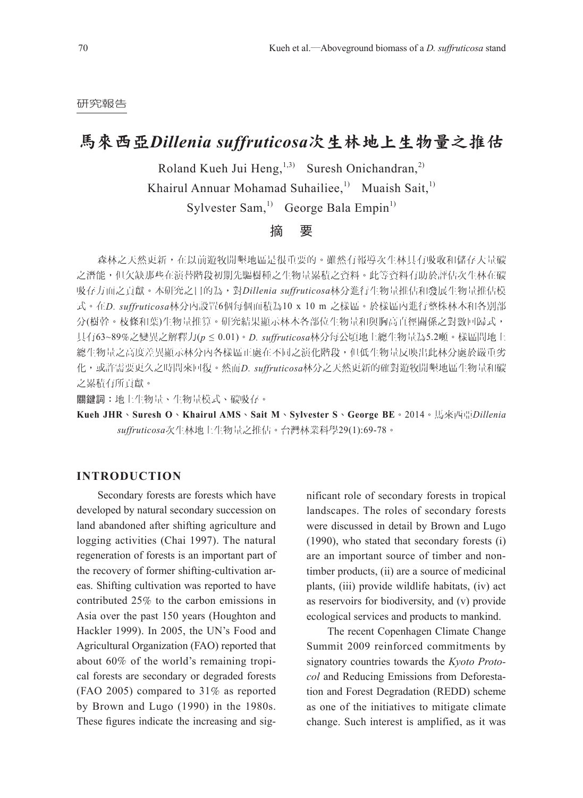#### 研究報告

### 馬來西亞*Dillenia suffruticosa*次生林地上生物量之推估

Roland Kueh Jui Heng,  $^{1,3)}$  Suresh Onichandran,<sup>2)</sup>

Khairul Annuar Mohamad Suhailiee,<sup>1)</sup> Muaish Sait,<sup>1)</sup>

Sylvester Sam,<sup>1)</sup> George Bala Empin<sup>1)</sup>

### 摘 要

森林之天然更新,在以前遊牧開墾地區是很重要的。雖然有報導次生林具有吸收和儲存大量碳 之潛能,但欠缺那些在演替階段初期先驅樹種之生物量累積之資料。此等資料有助於評估次生林在碳 吸存方面之貢獻。本研究之目的為,對*Dillenia suffruticosa*林分進行生物量推估和發展生物量推估模 式。在*D. suffruticosa*林分內設置6個每個面積為10 x 10 m 之樣區。於樣區內進行整株林木和各別部 分(樹幹。枝條和葉)生物量推算。研究結果顯示林木各部位生物量和與胸高直徑關係之對數回歸式, 具有63~89%之變異之解釋力(*p* ≤ 0.01)。*D. suffruticosa*林分每公頃地上總生物量為5.2噸。樣區間地上 總生物量之高度差異顯示林分內各樣區正處在不同之演化階段,但低生物量反映出此林分處於嚴重劣 化,或許需要更久之時間來回復。然而*D. suffruticosa*林分之天然更新的確對遊牧開墾地區生物量和碳 之累積有所貢獻。

關鍵詞:地上生物量、生物量模式、碳吸存。

**Kueh JHR**、**Suresh O**、**Khairul AMS**、**Sait M**、**Sylvester S**、**George BE**。2014。馬來西亞*Dillenia suffruticosa*次生林地上生物量之推估。台灣林業科學29(1):69-78。

#### **INTRODUCTION**

Secondary forests are forests which have developed by natural secondary succession on land abandoned after shifting agriculture and logging activities (Chai 1997). The natural regeneration of forests is an important part of the recovery of former shifting-cultivation areas. Shifting cultivation was reported to have contributed 25% to the carbon emissions in Asia over the past 150 years (Houghton and Hackler 1999). In 2005, the UN's Food and Agricultural Organization (FAO) reported that about 60% of the world's remaining tropical forests are secondary or degraded forests (FAO 2005) compared to 31% as reported by Brown and Lugo (1990) in the 1980s. These figures indicate the increasing and sig-

nificant role of secondary forests in tropical landscapes. The roles of secondary forests were discussed in detail by Brown and Lugo (1990), who stated that secondary forests (i) are an important source of timber and nontimber products, (ii) are a source of medicinal plants, (iii) provide wildlife habitats, (iv) act as reservoirs for biodiversity, and (v) provide ecological services and products to mankind.

The recent Copenhagen Climate Change Summit 2009 reinforced commitments by signatory countries towards the *Kyoto Protocol* and Reducing Emissions from Deforestation and Forest Degradation (REDD) scheme as one of the initiatives to mitigate climate change. Such interest is amplified, as it was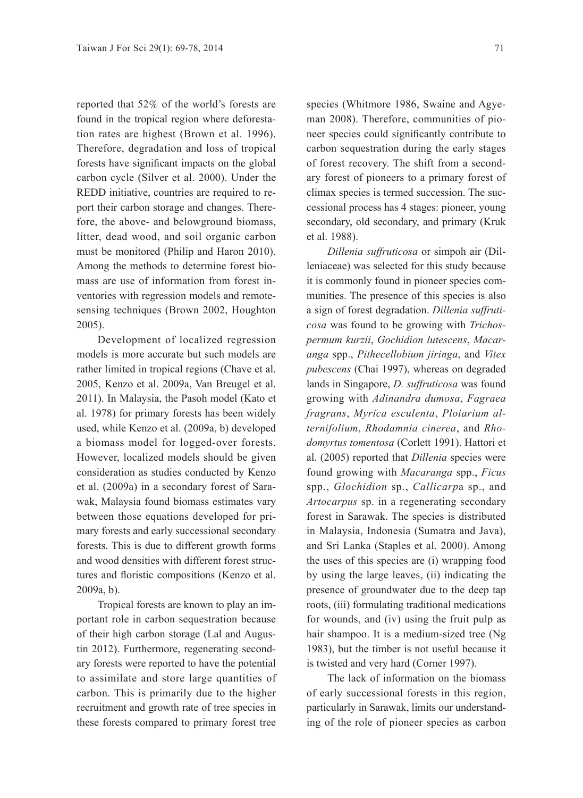reported that 52% of the world's forests are found in the tropical region where deforestation rates are highest (Brown et al. 1996). Therefore, degradation and loss of tropical forests have significant impacts on the global carbon cycle (Silver et al. 2000). Under the REDD initiative, countries are required to report their carbon storage and changes. Therefore, the above- and belowground biomass, litter, dead wood, and soil organic carbon must be monitored (Philip and Haron 2010). Among the methods to determine forest biomass are use of information from forest inventories with regression models and remotesensing techniques (Brown 2002, Houghton 2005).

Development of localized regression models is more accurate but such models are rather limited in tropical regions (Chave et al. 2005, Kenzo et al. 2009a, Van Breugel et al. 2011). In Malaysia, the Pasoh model (Kato et al. 1978) for primary forests has been widely used, while Kenzo et al. (2009a, b) developed a biomass model for logged-over forests. However, localized models should be given consideration as studies conducted by Kenzo et al. (2009a) in a secondary forest of Sarawak, Malaysia found biomass estimates vary between those equations developed for primary forests and early successional secondary forests. This is due to different growth forms and wood densities with different forest structures and floristic compositions (Kenzo et al. 2009a, b).

Tropical forests are known to play an important role in carbon sequestration because of their high carbon storage (Lal and Augustin 2012). Furthermore, regenerating secondary forests were reported to have the potential to assimilate and store large quantities of carbon. This is primarily due to the higher recruitment and growth rate of tree species in these forests compared to primary forest tree

species (Whitmore 1986, Swaine and Agyeman 2008). Therefore, communities of pioneer species could significantly contribute to carbon sequestration during the early stages of forest recovery. The shift from a secondary forest of pioneers to a primary forest of climax species is termed succession. The successional process has 4 stages: pioneer, young secondary, old secondary, and primary (Kruk et al. 1988).

*Dillenia suffruticosa* or simpoh air (Dilleniaceae) was selected for this study because it is commonly found in pioneer species communities. The presence of this species is also a sign of forest degradation. *Dillenia suffruticosa* was found to be growing with *Trichospermum kurzii*, *Gochidion lutescens*, *Macaranga* spp., *Pithecellobium jiringa*, and *Vitex pubescens* (Chai 1997), whereas on degraded lands in Singapore, *D. suffruticosa* was found growing with *Adinandra dumosa*, *Fagraea fragrans*, *Myrica esculenta*, *Ploiarium alternifolium*, *Rhodamnia cinerea*, and *Rhodomyrtus tomentosa* (Corlett 1991). Hattori et al. (2005) reported that *Dillenia* species were found growing with *Macaranga* spp., *Ficus* spp., *Glochidion* sp., *Callicarp*a sp., and *Artocarpus* sp. in a regenerating secondary forest in Sarawak. The species is distributed in Malaysia, Indonesia (Sumatra and Java), and Sri Lanka (Staples et al. 2000). Among the uses of this species are (i) wrapping food by using the large leaves, (ii) indicating the presence of groundwater due to the deep tap roots, (iii) formulating traditional medications for wounds, and (iv) using the fruit pulp as hair shampoo. It is a medium-sized tree (Ng 1983), but the timber is not useful because it is twisted and very hard (Corner 1997).

The lack of information on the biomass of early successional forests in this region, particularly in Sarawak, limits our understanding of the role of pioneer species as carbon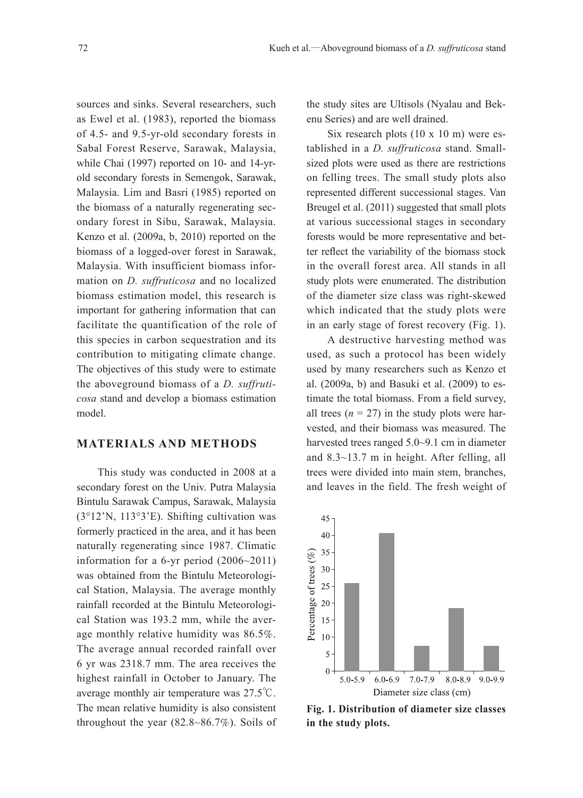sources and sinks. Several researchers, such as Ewel et al. (1983), reported the biomass of 4.5- and 9.5-yr-old secondary forests in Sabal Forest Reserve, Sarawak, Malaysia, while Chai (1997) reported on 10- and 14-yrold secondary forests in Semengok, Sarawak, Malaysia. Lim and Basri (1985) reported on the biomass of a naturally regenerating secondary forest in Sibu, Sarawak, Malaysia. Kenzo et al. (2009a, b, 2010) reported on the biomass of a logged-over forest in Sarawak, Malaysia. With insufficient biomass information on *D. suffruticosa* and no localized biomass estimation model, this research is important for gathering information that can facilitate the quantification of the role of this species in carbon sequestration and its contribution to mitigating climate change. The objectives of this study were to estimate the aboveground biomass of a *D. suffruticosa* stand and develop a biomass estimation model.

#### **MATERIALS AND METHODS**

This study was conducted in 2008 at a secondary forest on the Univ. Putra Malaysia Bintulu Sarawak Campus, Sarawak, Malaysia (3°12'N, 113°3'E). Shifting cultivation was formerly practiced in the area, and it has been naturally regenerating since 1987. Climatic information for a 6-yr period (2006~2011) was obtained from the Bintulu Meteorological Station, Malaysia. The average monthly rainfall recorded at the Bintulu Meteorological Station was 193.2 mm, while the average monthly relative humidity was 86.5%. The average annual recorded rainfall over 6 yr was 2318.7 mm. The area receives the highest rainfall in October to January. The average monthly air temperature was 27.5℃. The mean relative humidity is also consistent throughout the year (82.8~86.7%). Soils of the study sites are Ultisols (Nyalau and Bekenu Series) and are well drained.

Six research plots (10 x 10 m) were established in a *D. suffruticosa* stand. Smallsized plots were used as there are restrictions on felling trees. The small study plots also represented different successional stages. Van Breugel et al. (2011) suggested that small plots at various successional stages in secondary forests would be more representative and better reflect the variability of the biomass stock in the overall forest area. All stands in all study plots were enumerated. The distribution of the diameter size class was right-skewed which indicated that the study plots were in an early stage of forest recovery (Fig. 1).

A destructive harvesting method was used, as such a protocol has been widely used by many researchers such as Kenzo et al. (2009a, b) and Basuki et al. (2009) to estimate the total biomass. From a field survey, all trees  $(n = 27)$  in the study plots were harvested, and their biomass was measured. The harvested trees ranged 5.0~9.1 cm in diameter and 8.3~13.7 m in height. After felling, all trees were divided into main stem, branches, and leaves in the field. The fresh weight of



**Fig. 1. Distribution of diameter size classes in the study plots.**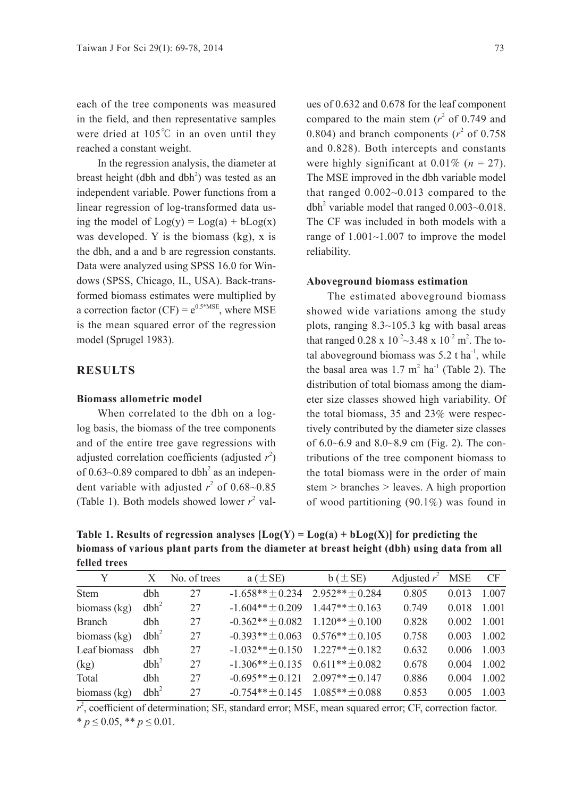each of the tree components was measured in the field, and then representative samples were dried at 105℃ in an oven until they reached a constant weight.

In the regression analysis, the diameter at breast height (dbh and  $dbh<sup>2</sup>$ ) was tested as an independent variable. Power functions from a linear regression of log-transformed data using the model of  $Log(y) = Log(a) + bLog(x)$ was developed. Y is the biomass (kg), x is the dbh, and a and b are regression constants. Data were analyzed using SPSS 16.0 for Windows (SPSS, Chicago, IL, USA). Back-transformed biomass estimates were multiplied by a correction factor (CF) =  $e^{0.5*MSE}$ , where MSE is the mean squared error of the regression model (Sprugel 1983).

#### **RESULTS**

#### **Biomass allometric model**

When correlated to the dbh on a loglog basis, the biomass of the tree components and of the entire tree gave regressions with adjusted correlation coefficients (adjusted  $r^2$ ) of  $0.63$ ~0.89 compared to dbh<sup>2</sup> as an independent variable with adjusted  $r^2$  of 0.68~0.85 (Table 1). Both models showed lower  $r^2$  values of 0.632 and 0.678 for the leaf component compared to the main stem  $(r^2 \text{ of } 0.749 \text{ and }$ 0.804) and branch components  $(r^2 \text{ of } 0.758)$ and 0.828). Both intercepts and constants were highly significant at  $0.01\%$  ( $n = 27$ ). The MSE improved in the dbh variable model that ranged 0.002~0.013 compared to the dbh<sup>2</sup> variable model that ranged  $0.003~0.018$ . The CF was included in both models with a range of 1.001~1.007 to improve the model reliability.

#### **Aboveground biomass estimation**

The estimated aboveground biomass showed wide variations among the study plots, ranging 8.3~105.3 kg with basal areas that ranged  $0.28 \times 10^{-2}$   $\sim$  3.48 x  $10^{-2}$  m<sup>2</sup>. The total aboveground biomass was  $5.2$  t ha<sup>-1</sup>, while the basal area was  $1.7 \text{ m}^2$  ha<sup>-1</sup> (Table 2). The distribution of total biomass among the diameter size classes showed high variability. Of the total biomass, 35 and 23% were respectively contributed by the diameter size classes of 6.0~6.9 and 8.0~8.9 cm (Fig. 2). The contributions of the tree component biomass to the total biomass were in the order of main stem > branches > leaves. A high proportion of wood partitioning (90.1%) was found in

Table 1. Results of regression analyses  $[Log(Y) = Log(a) + bLog(X)]$  for predicting the **biomass of various plant parts from the diameter at breast height (dbh) using data from all felled trees**

| Y              | X                | No. of trees | $a \left( \pm SE \right)$            | $b \left( \pm SE \right)$ | Adjusted $r^2$ | <b>MSE</b> | CF      |
|----------------|------------------|--------------|--------------------------------------|---------------------------|----------------|------------|---------|
| <b>Stem</b>    | dbh              | 27           | $-1.658**+0.234$                     | $2952**+0284$             | 0.805          | 0.013      | 1 0 0 7 |
| biomass (kg)   | dbh <sup>2</sup> | 27           | $-1.604**+0.209$                     | $1.447**+0.163$           | 0.749          | 0.018      | 1.001   |
| <b>Branch</b>  | dbh              | 27           | $-0.362**+0.082 \quad 1.120**+0.100$ |                           | 0.828          | 0.002      | 1 0 0 1 |
| biomass $(kg)$ | dbh <sup>2</sup> | 27           | $-0.393**+0.063$                     | $0.576**+0.105$           | 0.758          | 0.003      | 1.002   |
| Leaf biomass   | dbh              | 27           | $-1.032**+0.150$                     | $1.227**+0.182$           | 0.632          | 0.006      | 1.003   |
| (kg)           | dbh <sup>2</sup> | 27           | $-1.306** \pm 0.135$                 | $0.611**+0.082$           | 0.678          | 0.004      | 1.002   |
| Total          | dbh              | 27           | $-0.695**+0.121$                     | $2.097**+0.147$           | 0.886          | 0.004      | 1.002   |
| biomass $(kg)$ | dbh <sup>2</sup> | 27           | $-0.754**+0.145$                     | $1.085**+0.088$           | 0.853          | 0.005      | 1.003   |

 $r^2$ , coefficient of determination; SE, standard error; MSE, mean squared error; CF, correction factor.  $* p \leq 0.05$ ,  $* p \leq 0.01$ .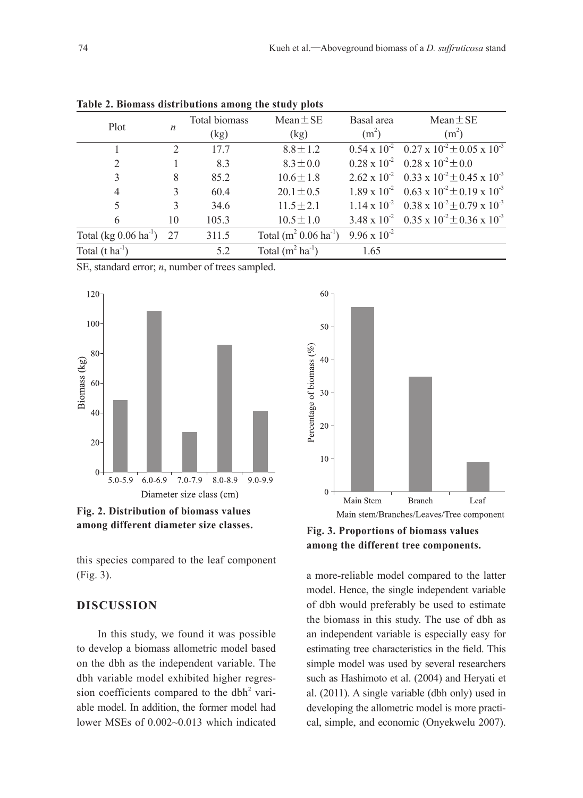|                                    |                  | $\circ$       | . .                             |                       |                                                                     |
|------------------------------------|------------------|---------------|---------------------------------|-----------------------|---------------------------------------------------------------------|
| Plot                               |                  | Total biomass | $Mean \pm SE$                   | Basal area            | $Mean \pm SE$                                                       |
|                                    | $\boldsymbol{n}$ | (kg)          | (kg)                            | (m <sup>2</sup> )     | (m <sup>2</sup> )                                                   |
|                                    |                  | 17.7          | $8.8 \pm 1.2$                   |                       | $0.54 \times 10^{-2}$ $0.27 \times 10^{-2} \pm 0.05 \times 10^{-3}$ |
| $\overline{2}$                     |                  | 8.3           | $8.3 \pm 0.0$                   |                       | $0.28 \times 10^{-2}$ 0.28 x $10^{-2} \pm 0.0$                      |
| 3                                  | 8                | 85.2          | $10.6 \pm 1.8$                  |                       | $2.62 \times 10^{-2}$ 0.33 x $10^{-2} \pm 0.45 \times 10^{-3}$      |
| 4                                  | 3                | 60.4          | $20.1 \pm 0.5$                  |                       | $1.89 \times 10^{-2}$ 0.63 x $10^{-2} \pm 0.19 \times 10^{-3}$      |
|                                    | 3                | 34.6          | $11.5 \pm 2.1$                  |                       | $1.14 \times 10^{-2}$ 0.38 x $10^{-2} \pm 0.79 \times 10^{-3}$      |
| 6                                  | 10               | 105.3         | $10.5 \pm 1.0$                  |                       | 3.48 x $10^{-2}$ 0.35 x $10^{-2} \pm 0.36$ x $10^{-3}$              |
| Total (kg $0.06 \text{ ha}^{-1}$ ) | 27               | 311.5         | Total $(m^2 0.06 \text{ ha}^1)$ | $9.96 \times 10^{-2}$ |                                                                     |
| Total $(t \text{ ha}^{-1})$        |                  | 5.2           | Total $(m^2 ha^{-1})$           | 1.65                  |                                                                     |
|                                    |                  |               |                                 |                       |                                                                     |

**Table 2. Biomass distributions among the study plots**

SE, standard error; *n*, number of trees sampled.



**Fig. 2. Distribution of biomass values** 

this species compared to the leaf component (Fig. 3).

#### **DISCUSSION**

In this study, we found it was possible to develop a biomass allometric model based on the dbh as the independent variable. The dbh variable model exhibited higher regression coefficients compared to the dbh<sup>2</sup> variable model. In addition, the former model had lower MSEs of 0.002~0.013 which indicated



**among different diameter size classes. Fig. 3. Proportions of biomass values among the different tree components.**

a more-reliable model compared to the latter model. Hence, the single independent variable of dbh would preferably be used to estimate the biomass in this study. The use of dbh as an independent variable is especially easy for estimating tree characteristics in the field. This simple model was used by several researchers such as Hashimoto et al. (2004) and Heryati et al. (2011). A single variable (dbh only) used in developing the allometric model is more practical, simple, and economic (Onyekwelu 2007).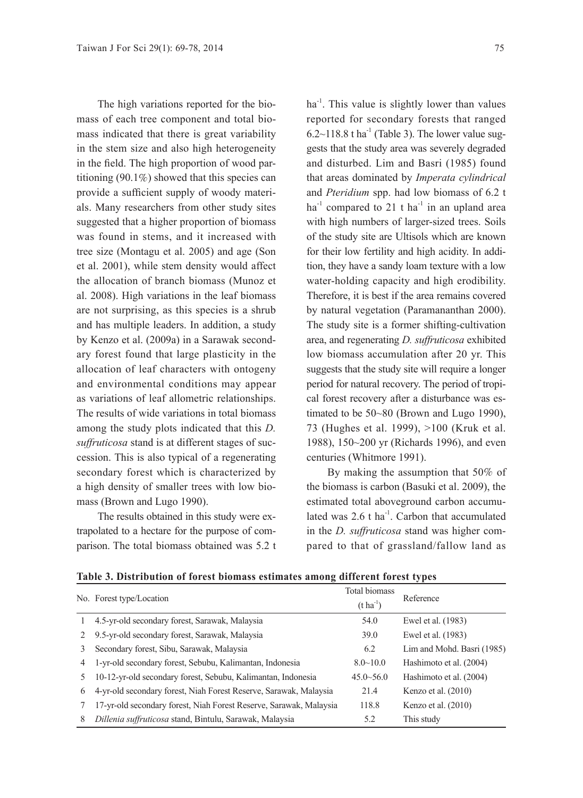The high variations reported for the biomass of each tree component and total biomass indicated that there is great variability in the stem size and also high heterogeneity in the field. The high proportion of wood partitioning  $(90.1\%)$  showed that this species can provide a sufficient supply of woody materials. Many researchers from other study sites suggested that a higher proportion of biomass was found in stems, and it increased with tree size (Montagu et al. 2005) and age (Son et al. 2001), while stem density would affect the allocation of branch biomass (Munoz et al. 2008). High variations in the leaf biomass are not surprising, as this species is a shrub and has multiple leaders. In addition, a study by Kenzo et al. (2009a) in a Sarawak secondary forest found that large plasticity in the allocation of leaf characters with ontogeny and environmental conditions may appear as variations of leaf allometric relationships. The results of wide variations in total biomass among the study plots indicated that this *D. suffruticosa* stand is at different stages of succession. This is also typical of a regenerating secondary forest which is characterized by a high density of smaller trees with low biomass (Brown and Lugo 1990).

The results obtained in this study were extrapolated to a hectare for the purpose of comparison. The total biomass obtained was 5.2 t

 $ha^{-1}$ . This value is slightly lower than values reported for secondary forests that ranged  $6.2 \sim 118.8$  t ha<sup>-1</sup> (Table 3). The lower value suggests that the study area was severely degraded and disturbed. Lim and Basri (1985) found that areas dominated by *Imperata cylindrical* and *Pteridium* spp. had low biomass of 6.2 t ha<sup>-1</sup> compared to 21 t ha<sup>-1</sup> in an upland area with high numbers of larger-sized trees. Soils of the study site are Ultisols which are known for their low fertility and high acidity. In addition, they have a sandy loam texture with a low water-holding capacity and high erodibility. Therefore, it is best if the area remains covered by natural vegetation (Paramananthan 2000). The study site is a former shifting-cultivation area, and regenerating *D. suffruticosa* exhibited low biomass accumulation after 20 yr. This suggests that the study site will require a longer period for natural recovery. The period of tropical forest recovery after a disturbance was estimated to be 50~80 (Brown and Lugo 1990), 73 (Hughes et al. 1999), >100 (Kruk et al. 1988), 150~200 yr (Richards 1996), and even centuries (Whitmore 1991).

By making the assumption that 50% of the biomass is carbon (Basuki et al. 2009), the estimated total aboveground carbon accumulated was  $2.6$  t ha<sup>-1</sup>. Carbon that accumulated in the *D. suffruticosa* stand was higher compared to that of grassland/fallow land as

|    | No. Forest type/Location                                           | Total biomass         | Reference                  |  |
|----|--------------------------------------------------------------------|-----------------------|----------------------------|--|
|    |                                                                    | $(t \text{ ha}^{-1})$ |                            |  |
|    | 4.5-yr-old secondary forest, Sarawak, Malaysia                     | 54.0                  | Ewel et al. (1983)         |  |
| 2  | 9.5-yr-old secondary forest, Sarawak, Malaysia                     | 39.0                  | Ewel et al. (1983)         |  |
| 3. | Secondary forest, Sibu, Sarawak, Malaysia                          | 6.2                   | Lim and Mohd. Basri (1985) |  |
| 4  | 1-yr-old secondary forest, Sebubu, Kalimantan, Indonesia           | $8.0 \sim 10.0$       | Hashimoto et al. (2004)    |  |
| 5. | 10-12-yr-old secondary forest, Sebubu, Kalimantan, Indonesia       | $45.0 - 56.0$         | Hashimoto et al. (2004)    |  |
| 6  | 4-yr-old secondary forest, Niah Forest Reserve, Sarawak, Malaysia  | 21.4                  | Kenzo et al. $(2010)$      |  |
|    | 17-yr-old secondary forest, Niah Forest Reserve, Sarawak, Malaysia | 118.8                 | Kenzo et al. $(2010)$      |  |
| 8  | Dillenia suffruticosa stand, Bintulu, Sarawak, Malaysia            | 5.2                   | This study                 |  |

|  |  |  | Table 3. Distribution of forest biomass estimates among different forest types |  |  |
|--|--|--|--------------------------------------------------------------------------------|--|--|
|  |  |  |                                                                                |  |  |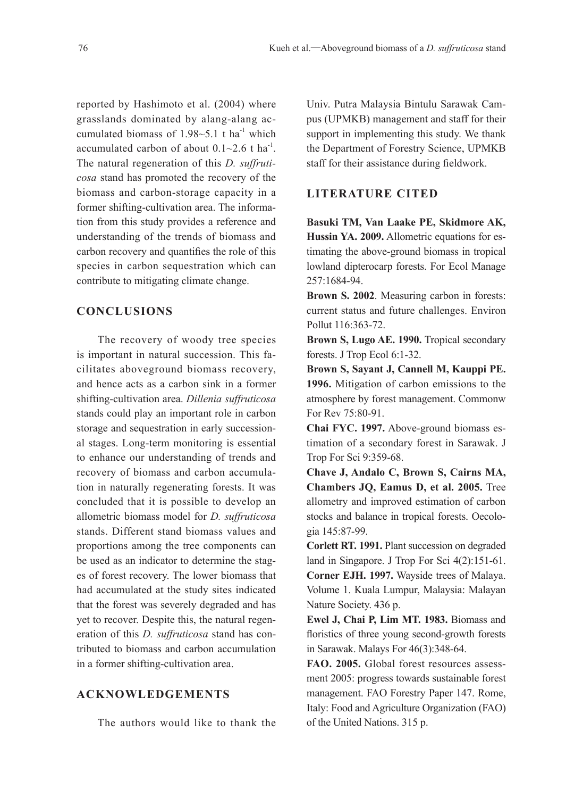reported by Hashimoto et al. (2004) where grasslands dominated by alang-alang accumulated biomass of  $1.98 - 5.1$  t ha<sup>-1</sup> which accumulated carbon of about  $0.1 \sim 2.6$  t ha<sup>-1</sup>. The natural regeneration of this *D. suffruticosa* stand has promoted the recovery of the biomass and carbon-storage capacity in a former shifting-cultivation area. The information from this study provides a reference and understanding of the trends of biomass and carbon recovery and quantifies the role of this species in carbon sequestration which can contribute to mitigating climate change.

#### **CONCLUSIONS**

The recovery of woody tree species is important in natural succession. This facilitates aboveground biomass recovery, and hence acts as a carbon sink in a former shifting-cultivation area. *Dillenia suffruticosa* stands could play an important role in carbon storage and sequestration in early successional stages. Long-term monitoring is essential to enhance our understanding of trends and recovery of biomass and carbon accumulation in naturally regenerating forests. It was concluded that it is possible to develop an allometric biomass model for *D. suffruticosa*  stands. Different stand biomass values and proportions among the tree components can be used as an indicator to determine the stages of forest recovery. The lower biomass that had accumulated at the study sites indicated that the forest was severely degraded and has yet to recover. Despite this, the natural regeneration of this *D. suffruticosa* stand has contributed to biomass and carbon accumulation in a former shifting-cultivation area.

#### **ACKNOWLEDGEMENTS**

The authors would like to thank the

Univ. Putra Malaysia Bintulu Sarawak Campus (UPMKB) management and staff for their support in implementing this study. We thank the Department of Forestry Science, UPMKB staff for their assistance during fieldwork.

#### **LITERATURE CITED**

**Basuki TM, Van Laake PE, Skidmore AK, Hussin YA. 2009.** Allometric equations for estimating the above-ground biomass in tropical lowland dipterocarp forests. For Ecol Manage 257:1684-94.

**Brown S. 2002**. Measuring carbon in forests: current status and future challenges. Environ Pollut 116:363-72.

**Brown S, Lugo AE. 1990.** Tropical secondary forests. J Trop Ecol 6:1-32.

**Brown S, Sayant J, Cannell M, Kauppi PE. 1996.** Mitigation of carbon emissions to the atmosphere by forest management. Commonw For Rev 75:80-91.

**Chai FYC. 1997.** Above-ground biomass estimation of a secondary forest in Sarawak. J Trop For Sci 9:359-68.

**Chave J, Andalo C, Brown S, Cairns MA, Chambers JQ, Eamus D, et al. 2005.** Tree allometry and improved estimation of carbon stocks and balance in tropical forests. Oecologia 145:87-99.

**Corlett RT. 1991.** Plant succession on degraded land in Singapore. J Trop For Sci 4(2):151-61. **Corner EJH. 1997.** Wayside trees of Malaya. Volume 1. Kuala Lumpur, Malaysia: Malayan Nature Society. 436 p.

**Ewel J, Chai P, Lim MT. 1983.** Biomass and floristics of three young second-growth forests in Sarawak. Malays For 46(3):348-64.

**FAO. 2005.** Global forest resources assessment 2005: progress towards sustainable forest management. FAO Forestry Paper 147. Rome, Italy: Food and Agriculture Organization (FAO) of the United Nations. 315 p.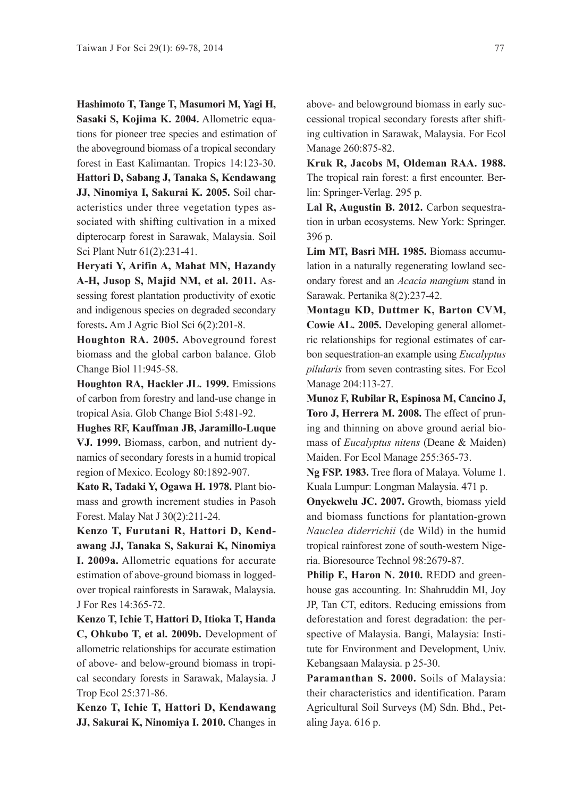**Hashimoto T, Tange T, Masumori M, Yagi H, Sasaki S, Kojima K. 2004.** Allometric equations for pioneer tree species and estimation of the aboveground biomass of a tropical secondary forest in East Kalimantan. Tropics 14:123-30.

**Hattori D, Sabang J, Tanaka S, Kendawang JJ, Ninomiya I, Sakurai K. 2005.** Soil characteristics under three vegetation types associated with shifting cultivation in a mixed dipterocarp forest in Sarawak, Malaysia. Soil Sci Plant Nutr 61(2):231-41.

**Heryati Y, Arifin A, Mahat MN, Hazandy A-H, Jusop S, Majid NM, et al. 2011.** Assessing forest plantation productivity of exotic and indigenous species on degraded secondary forests**.** Am J Agric Biol Sci 6(2):201-8.

**Houghton RA. 2005.** Aboveground forest biomass and the global carbon balance. Glob Change Biol 11:945-58.

**Houghton RA, Hackler JL. 1999.** Emissions of carbon from forestry and land-use change in tropical Asia. Glob Change Biol 5:481-92.

**Hughes RF, Kauffman JB, Jaramillo-Luque VJ. 1999.** Biomass, carbon, and nutrient dynamics of secondary forests in a humid tropical region of Mexico. Ecology 80:1892-907.

**Kato R, Tadaki Y, Ogawa H. 1978.** Plant biomass and growth increment studies in Pasoh Forest. Malay Nat J 30(2):211-24.

**Kenzo T, Furutani R, Hattori D, Kendawang JJ, Tanaka S, Sakurai K, Ninomiya I. 2009a.** Allometric equations for accurate estimation of above-ground biomass in loggedover tropical rainforests in Sarawak, Malaysia. J For Res 14:365-72.

**Kenzo T, Ichie T, Hattori D, Itioka T, Handa C, Ohkubo T, et al. 2009b.** Development of allometric relationships for accurate estimation of above- and below-ground biomass in tropical secondary forests in Sarawak, Malaysia. J Trop Ecol 25:371-86.

**Kenzo T, Ichie T, Hattori D, Kendawang JJ, Sakurai K, Ninomiya I. 2010.** Changes in above- and belowground biomass in early successional tropical secondary forests after shifting cultivation in Sarawak, Malaysia. For Ecol Manage 260:875-82.

**Kruk R, Jacobs M, Oldeman RAA. 1988.** The tropical rain forest: a first encounter. Berlin: Springer-Verlag. 295 p.

**Lal R, Augustin B. 2012.** Carbon sequestration in urban ecosystems. New York: Springer. 396 p.

**Lim MT, Basri MH. 1985.** Biomass accumulation in a naturally regenerating lowland secondary forest and an *Acacia mangium* stand in Sarawak. Pertanika 8(2):237-42.

**Montagu KD, Duttmer K, Barton CVM, Cowie AL. 2005.** Developing general allometric relationships for regional estimates of carbon sequestration-an example using *Eucalyptus pilularis* from seven contrasting sites. For Ecol Manage 204:113-27.

**Munoz F, Rubilar R, Espinosa M, Cancino J, Toro J, Herrera M. 2008.** The effect of pruning and thinning on above ground aerial biomass of *Eucalyptus nitens* (Deane & Maiden) Maiden. For Ecol Manage 255:365-73.

**Ng FSP. 1983.** Tree flora of Malaya. Volume 1. Kuala Lumpur: Longman Malaysia. 471 p.

**Onyekwelu JC. 2007.** Growth, biomass yield and biomass functions for plantation-grown *Nauclea diderrichii* (de Wild) in the humid tropical rainforest zone of south-western Nigeria. Bioresource Technol 98:2679-87.

**Philip E, Haron N. 2010.** REDD and greenhouse gas accounting. In: Shahruddin MI, Joy JP, Tan CT, editors. Reducing emissions from deforestation and forest degradation: the perspective of Malaysia. Bangi, Malaysia: Institute for Environment and Development, Univ. Kebangsaan Malaysia. p 25-30.

**Paramanthan S. 2000.** Soils of Malaysia: their characteristics and identification. Param Agricultural Soil Surveys (M) Sdn. Bhd., Petaling Jaya. 616 p.